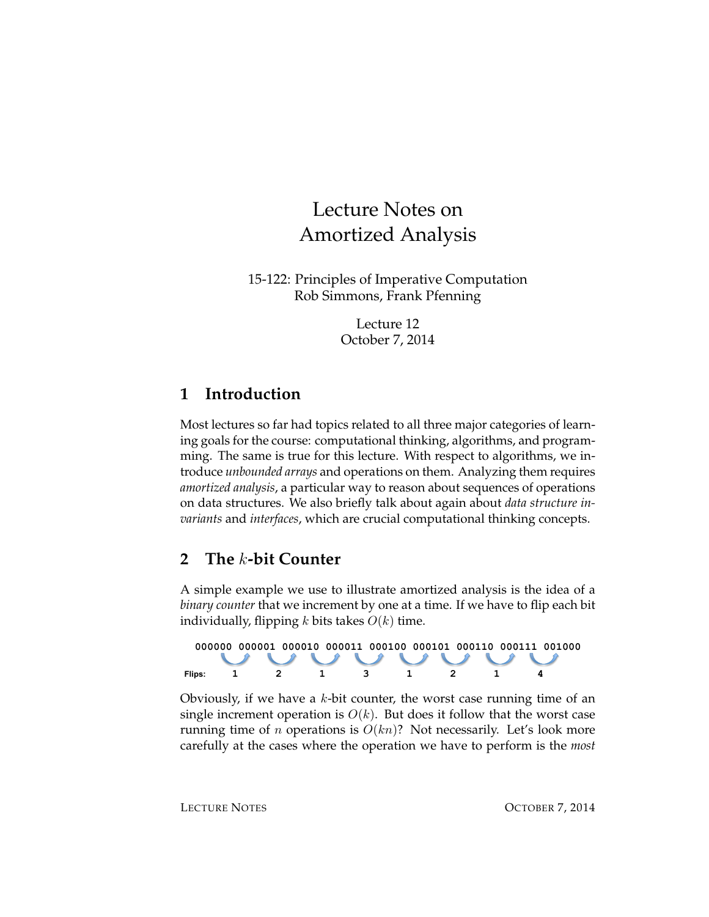# Lecture Notes on Amortized Analysis

15-122: Principles of Imperative Computation Rob Simmons, Frank Pfenning

> Lecture 12 October 7, 2014

# **1 Introduction**

Most lectures so far had topics related to all three major categories of learning goals for the course: computational thinking, algorithms, and programming. The same is true for this lecture. With respect to algorithms, we introduce *unbounded arrays* and operations on them. Analyzing them requires *amortized analysis*, a particular way to reason about sequences of operations on data structures. We also briefly talk about again about *data structure invariants* and *interfaces*, which are crucial computational thinking concepts.

# **2 The** k**-bit Counter**

A simple example we use to illustrate amortized analysis is the idea of a *binary counter* that we increment by one at a time. If we have to flip each bit individually, flipping k bits takes  $O(k)$  time.



Obviously, if we have a  $k$ -bit counter, the worst case running time of an single increment operation is  $O(k)$ . But does it follow that the worst case running time of *n* operations is  $O(kn)$ ? Not necessarily. Let's look more carefully at the cases where the operation we have to perform is the *most*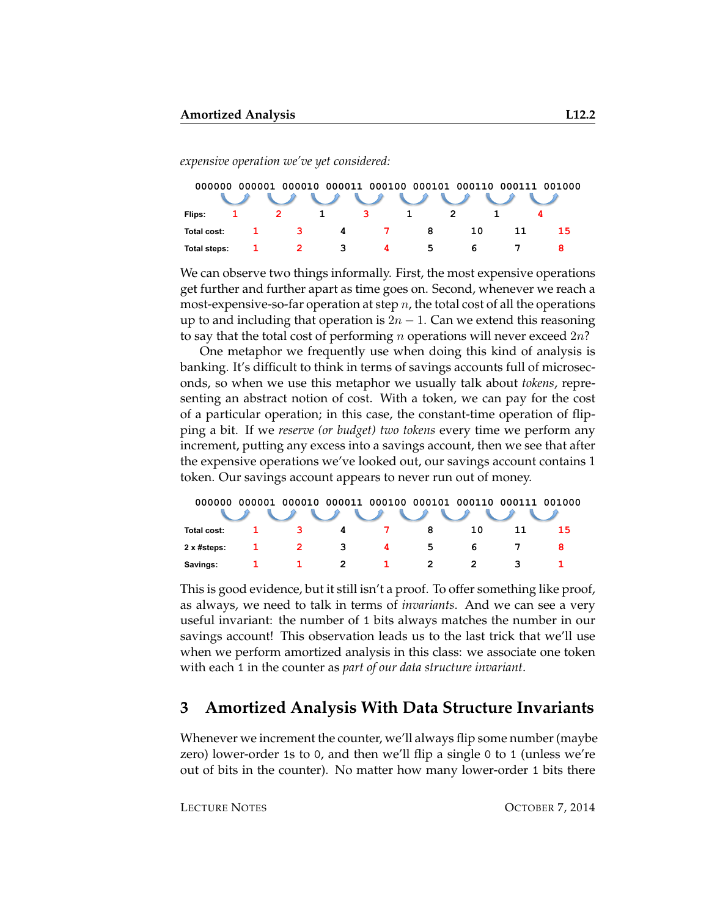*expensive operation we've yet considered:*

| 000001 000010 000011 000100 000101 000110 000111 001000<br>000000 |  |              |   |                |   |    |  |    |  |  |  |  |
|-------------------------------------------------------------------|--|--------------|---|----------------|---|----|--|----|--|--|--|--|
|                                                                   |  |              |   |                |   |    |  |    |  |  |  |  |
| Flips:                                                            |  |              |   | 3              |   |    |  |    |  |  |  |  |
| Total cost:                                                       |  | $\mathbf{R}$ | 4 | $\overline{7}$ | 8 | 10 |  | 15 |  |  |  |  |
| Total steps:                                                      |  |              | 3 |                | 5 |    |  |    |  |  |  |  |

We can observe two things informally. First, the most expensive operations get further and further apart as time goes on. Second, whenever we reach a most-expensive-so-far operation at step  $n$ , the total cost of all the operations up to and including that operation is  $2n - 1$ . Can we extend this reasoning to say that the total cost of performing  $n$  operations will never exceed  $2n$ ?

One metaphor we frequently use when doing this kind of analysis is banking. It's difficult to think in terms of savings accounts full of microseconds, so when we use this metaphor we usually talk about *tokens*, representing an abstract notion of cost. With a token, we can pay for the cost of a particular operation; in this case, the constant-time operation of flipping a bit. If we *reserve (or budget) two tokens* every time we perform any increment, putting any excess into a savings account, then we see that after the expensive operations we've looked out, our savings account contains 1 token. Our savings account appears to never run out of money.

| 000000                                                                                                                                                                                                                                                                                                                                                                                                                     |  |   |   | 000001 000010 000011 000100 000101 000110 000111 001000 |   |    |  |    |  |  |  |  |
|----------------------------------------------------------------------------------------------------------------------------------------------------------------------------------------------------------------------------------------------------------------------------------------------------------------------------------------------------------------------------------------------------------------------------|--|---|---|---------------------------------------------------------|---|----|--|----|--|--|--|--|
| $\begin{array}{c} \sqrt{2} & \sqrt{2} & \sqrt{2} & \sqrt{2} & \sqrt{2} & \sqrt{2} & \sqrt{2} & \sqrt{2} & \sqrt{2} & \sqrt{2} & \sqrt{2} & \sqrt{2} & \sqrt{2} & \sqrt{2} & \sqrt{2} & \sqrt{2} & \sqrt{2} & \sqrt{2} & \sqrt{2} & \sqrt{2} & \sqrt{2} & \sqrt{2} & \sqrt{2} & \sqrt{2} & \sqrt{2} & \sqrt{2} & \sqrt{2} & \sqrt{2} & \sqrt{2} & \sqrt{2} & \sqrt{2} & \sqrt{2} & \sqrt{2} & \sqrt{2} & \sqrt{2} & \sqrt{$ |  |   |   |                                                         |   |    |  |    |  |  |  |  |
| Total cost:                                                                                                                                                                                                                                                                                                                                                                                                                |  |   | 4 |                                                         | 8 | 10 |  | 15 |  |  |  |  |
| 2 x #steps:                                                                                                                                                                                                                                                                                                                                                                                                                |  | 2 | 3 | 4                                                       | 5 | 'n |  |    |  |  |  |  |
| Savings:                                                                                                                                                                                                                                                                                                                                                                                                                   |  |   |   |                                                         |   |    |  |    |  |  |  |  |

This is good evidence, but it still isn't a proof. To offer something like proof, as always, we need to talk in terms of *invariants*. And we can see a very useful invariant: the number of 1 bits always matches the number in our savings account! This observation leads us to the last trick that we'll use when we perform amortized analysis in this class: we associate one token with each 1 in the counter as *part of our data structure invariant*.

#### **3 Amortized Analysis With Data Structure Invariants**

Whenever we increment the counter, we'll always flip some number (maybe zero) lower-order 1s to 0, and then we'll flip a single 0 to 1 (unless we're out of bits in the counter). No matter how many lower-order 1 bits there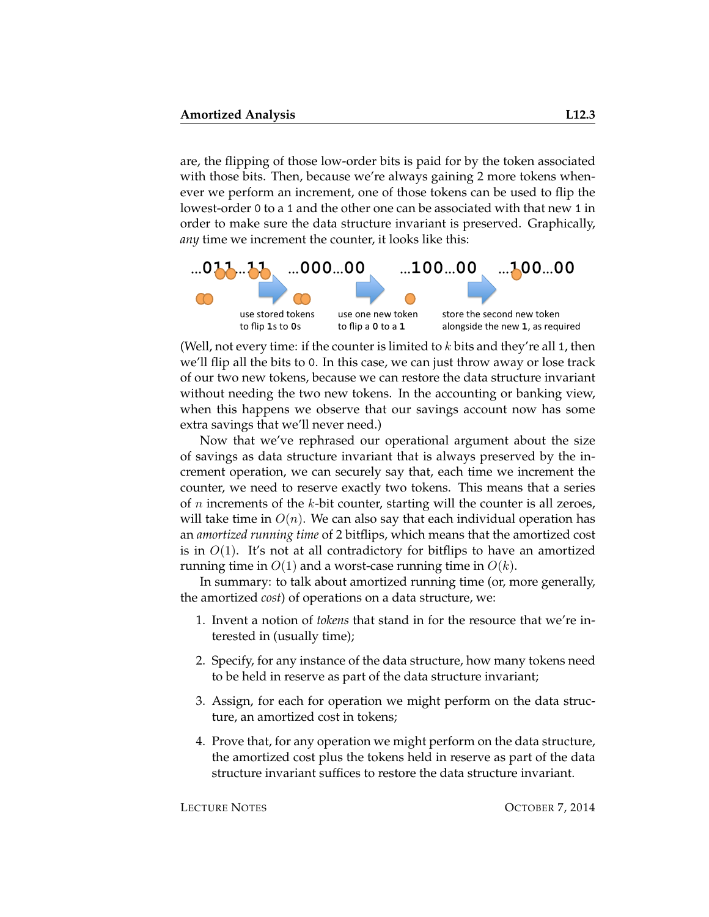are, the flipping of those low-order bits is paid for by the token associated with those bits. Then, because we're always gaining 2 more tokens whenever we perform an increment, one of those tokens can be used to flip the lowest-order 0 to a 1 and the other one can be associated with that new 1 in order to make sure the data structure invariant is preserved. Graphically, *any* time we increment the counter, it looks like this:



(Well, not every time: if the counter is limited to  $k$  bits and they're all 1, then we'll flip all the bits to 0. In this case, we can just throw away or lose track of our two new tokens, because we can restore the data structure invariant without needing the two new tokens. In the accounting or banking view, when this happens we observe that our savings account now has some extra savings that we'll never need.)

Now that we've rephrased our operational argument about the size of savings as data structure invariant that is always preserved by the increment operation, we can securely say that, each time we increment the counter, we need to reserve exactly two tokens. This means that a series of  $n$  increments of the  $k$ -bit counter, starting will the counter is all zeroes, will take time in  $O(n)$ . We can also say that each individual operation has an *amortized running time* of 2 bitflips, which means that the amortized cost is in  $O(1)$ . It's not at all contradictory for bitflips to have an amortized running time in  $O(1)$  and a worst-case running time in  $O(k)$ .

In summary: to talk about amortized running time (or, more generally, the amortized *cost*) of operations on a data structure, we:

- 1. Invent a notion of *tokens* that stand in for the resource that we're interested in (usually time);
- 2. Specify, for any instance of the data structure, how many tokens need to be held in reserve as part of the data structure invariant;
- 3. Assign, for each for operation we might perform on the data structure, an amortized cost in tokens;
- 4. Prove that, for any operation we might perform on the data structure, the amortized cost plus the tokens held in reserve as part of the data structure invariant suffices to restore the data structure invariant.

LECTURE NOTES **OCTOBER 7, 2014**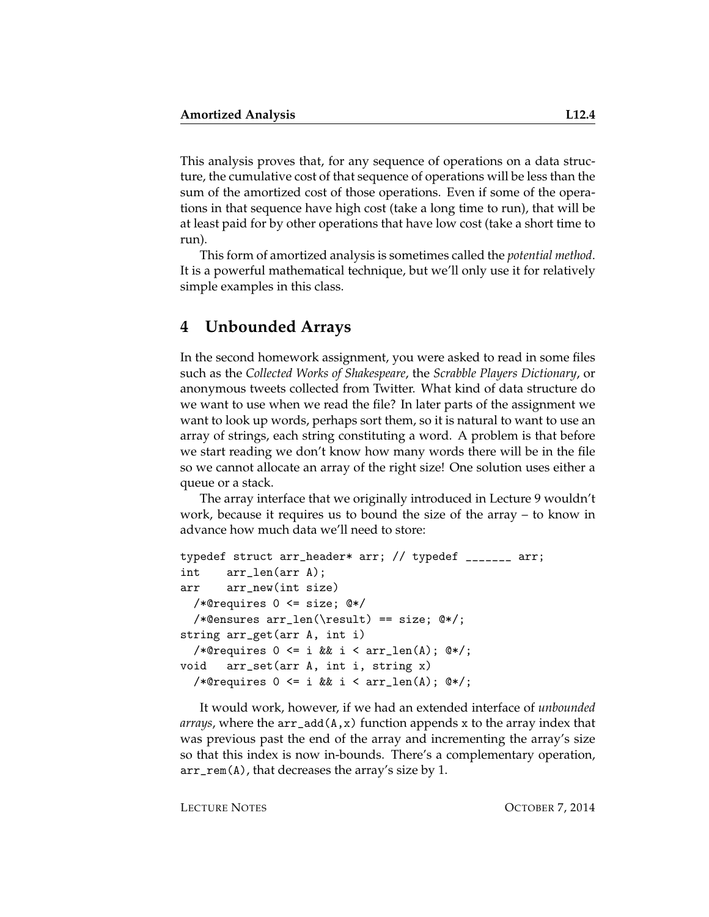This analysis proves that, for any sequence of operations on a data structure, the cumulative cost of that sequence of operations will be less than the sum of the amortized cost of those operations. Even if some of the operations in that sequence have high cost (take a long time to run), that will be at least paid for by other operations that have low cost (take a short time to run).

This form of amortized analysis is sometimes called the *potential method*. It is a powerful mathematical technique, but we'll only use it for relatively simple examples in this class.

#### **4 Unbounded Arrays**

In the second homework assignment, you were asked to read in some files such as the *Collected Works of Shakespeare*, the *Scrabble Players Dictionary*, or anonymous tweets collected from Twitter. What kind of data structure do we want to use when we read the file? In later parts of the assignment we want to look up words, perhaps sort them, so it is natural to want to use an array of strings, each string constituting a word. A problem is that before we start reading we don't know how many words there will be in the file so we cannot allocate an array of the right size! One solution uses either a queue or a stack.

The array interface that we originally introduced in Lecture 9 wouldn't work, because it requires us to bound the size of the array – to know in advance how much data we'll need to store:

```
typedef struct arr_header* arr; // typedef _______ arr;
int arr_len(arr A);
arr arr_new(int size)
  /*@requires 0 <= size; @*/
  /*@ensures arr_len(\result) == size; @*/;
string arr_get(arr A, int i)
  /*@requires 0 \leq i && i \leq \arcsin(\Lambda); @*/;
void arr_set(arr A, int i, string x)
  /*@requires 0 \leq i && i < arr_len(A); @*/;
```
It would work, however, if we had an extended interface of *unbounded arrays*, where the arr\_add(A,x) function appends x to the array index that was previous past the end of the array and incrementing the array's size so that this index is now in-bounds. There's a complementary operation, arr\_rem(A), that decreases the array's size by 1.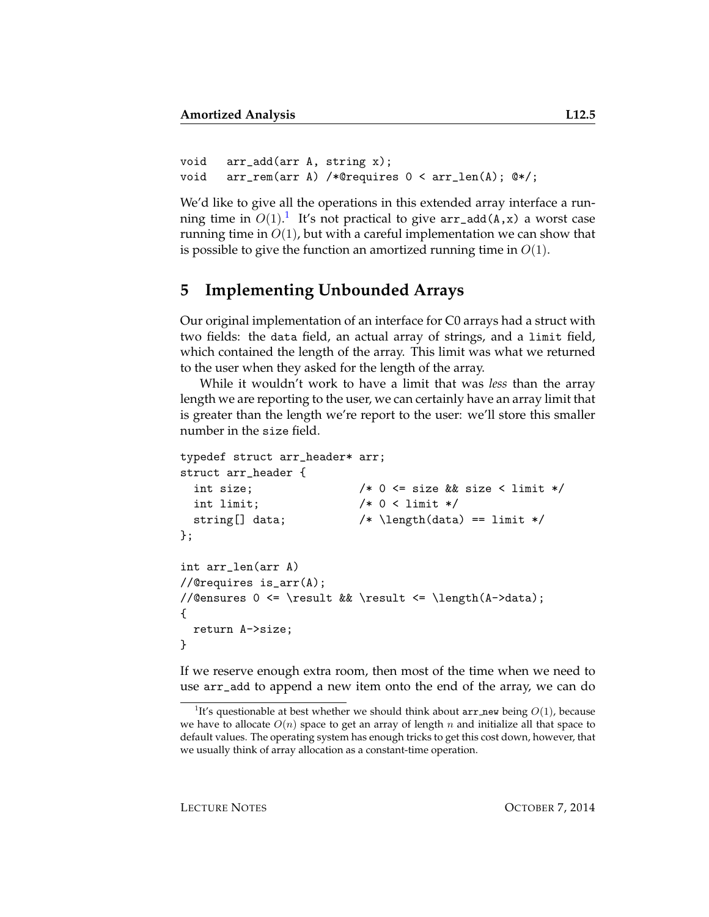```
void arr_add(arr A, string x);
void arr_rem(arr A) /*@requires 0 < arr_len(A); @*/;
```
We'd like to give all the operations in this extended array interface a running time in  $O(1).^{1}$  $O(1).^{1}$  $O(1).^{1}$  It's not practical to give  $\mathtt{arr\_add(A,x)}$  a worst case running time in  $O(1)$ , but with a careful implementation we can show that is possible to give the function an amortized running time in  $O(1)$ .

## **5 Implementing Unbounded Arrays**

Our original implementation of an interface for C0 arrays had a struct with two fields: the data field, an actual array of strings, and a limit field, which contained the length of the array. This limit was what we returned to the user when they asked for the length of the array.

While it wouldn't work to have a limit that was *less* than the array length we are reporting to the user, we can certainly have an array limit that is greater than the length we're report to the user: we'll store this smaller number in the size field.

```
typedef struct arr_header* arr;
struct arr_header {
 int size; /* 0 <= size && size < limit */
 int limit; /* 0 < limit */string[] data; /* \left(\text{data}\right) == \text{limit} */};
int arr_len(arr A)
//@requires is_arr(A);
//@ensures 0 <= \result && \result <= \length(A->data);
{
 return A->size;
}
```
If we reserve enough extra room, then most of the time when we need to use arr\_add to append a new item onto the end of the array, we can do

<span id="page-4-0"></span><sup>&</sup>lt;sup>1</sup>It's questionable at best whether we should think about  $arr$  new being  $O(1)$ , because we have to allocate  $O(n)$  space to get an array of length n and initialize all that space to default values. The operating system has enough tricks to get this cost down, however, that we usually think of array allocation as a constant-time operation.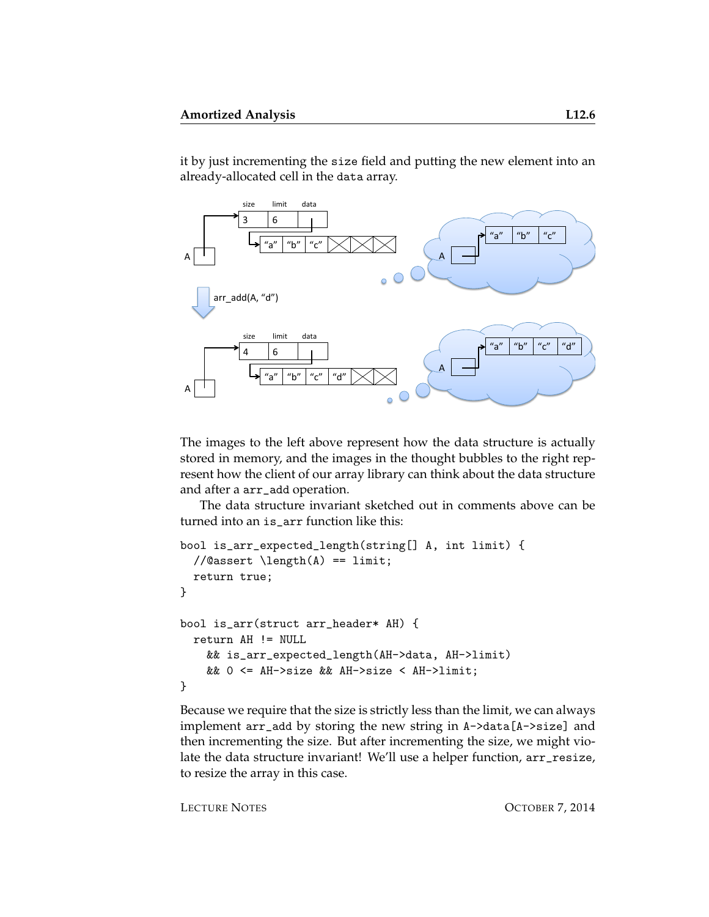it by just incrementing the size field and putting the new element into an already-allocated cell in the data array.



The images to the left above represent how the data structure is actually stored in memory, and the images in the thought bubbles to the right represent how the client of our array library can think about the data structure and after a arr\_add operation.

The data structure invariant sketched out in comments above can be turned into an is\_arr function like this:

```
bool is_arr_expected_length(string[] A, int limit) {
  //Qassert \leq A() == limit;return true;
}
bool is_arr(struct arr_header* AH) {
 return AH != NULL
   && is_arr_expected_length(AH->data, AH->limit)
   && 0 <= AH->size && AH->size < AH->limit;
}
```
Because we require that the size is strictly less than the limit, we can always implement arr\_add by storing the new string in A->data[A->size] and then incrementing the size. But after incrementing the size, we might violate the data structure invariant! We'll use a helper function, arr\_resize, to resize the array in this case.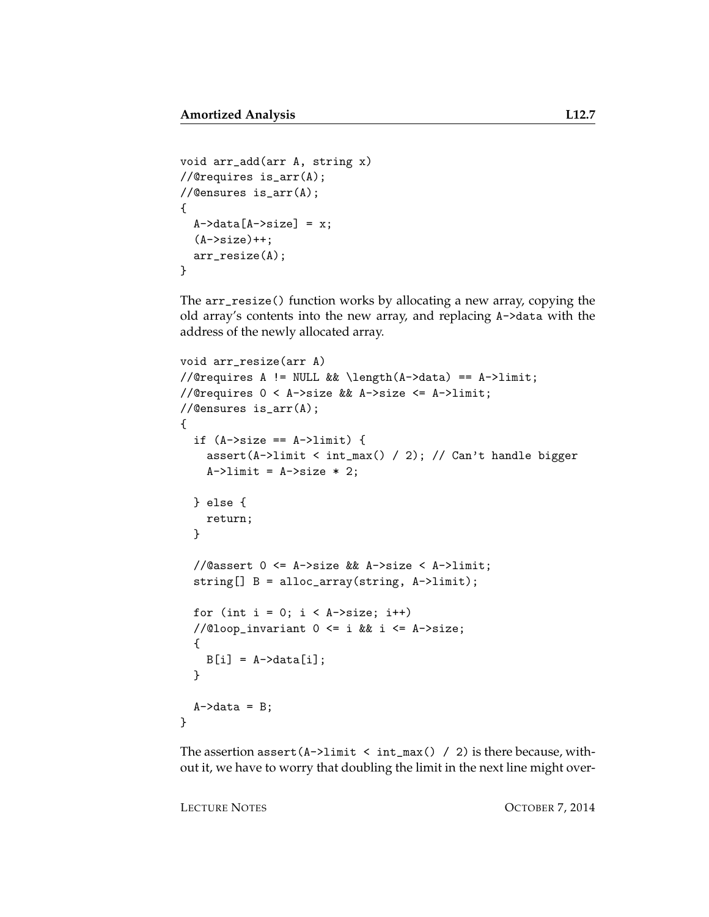```
void arr_add(arr A, string x)
//@requires is_arr(A);
//@ensures is_arr(A);
{
  A->data[A->size] = x;
  (A->size)++;arr_resize(A);
}
```
The arr\_resize() function works by allocating a new array, copying the old array's contents into the new array, and replacing A->data with the address of the newly allocated array.

```
void arr_resize(arr A)
//@requires A != NULL && \length(A->data) == A->limit;
//@requires 0 < A->size && A->size <= A->limit;
//@ensures is_arr(A);
{
  if (A->size == A->limit) {
    assert(A->limit < int_max() / 2); // Can't handle bigger
    A \rightarrowlimit = A \rightarrowsize * 2;
  } else {
    return;
  }
  //@assert 0 <= A->size && A->size < A->limit;
  string[] B = alloc_array(string, A->limit);
  for (int i = 0; i < A->size; i++)//@loop_invariant 0 <= i && i <= A->size;
  {
    B[i] = A-\lambda d \text{ata}[i];}
  A \rightarrow data = B;}
```
The assertion assert  $(A-)$ limit < int\_max() / 2) is there because, without it, we have to worry that doubling the limit in the next line might over-

LECTURE NOTES **OCTOBER 7, 2014**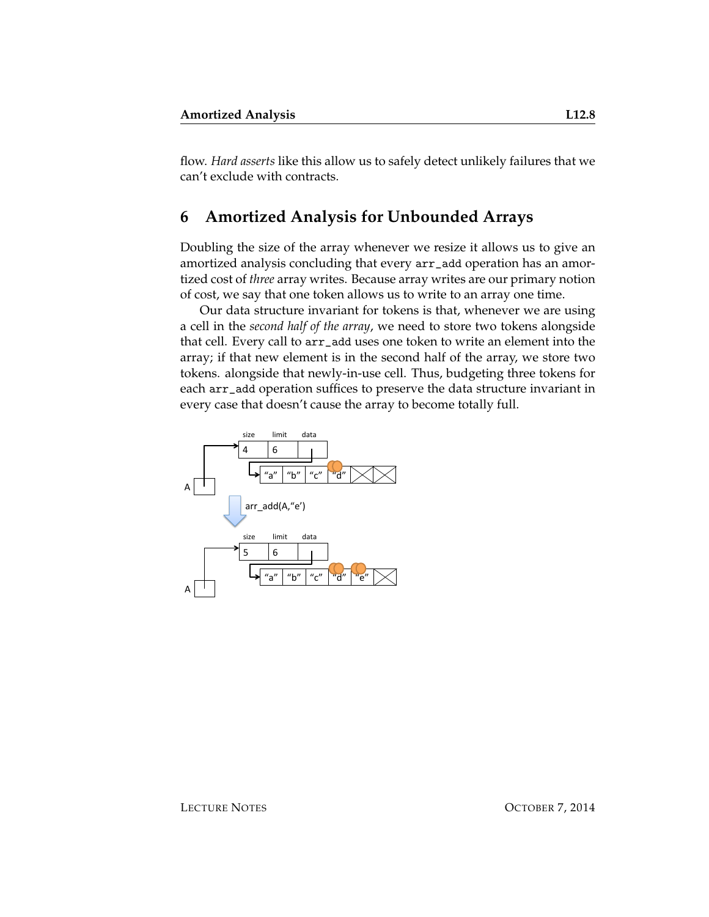can't exclude with contracts.

flow. *Hard asserts* like this allow us to safely detect unlikely failures that we

#### **6 Amortized Analysis for Unbounded Arrays**

Doubling the size of the array whenever we resize it allows us to give an amortized analysis concluding that every arr\_add operation has an amortized cost of *three* array writes. Because array writes are our primary notion of cost, we say that one token allows us to write to an array one time.

Our data structure invariant for tokens is that, whenever we are using a cell in the *second half of the array*, we need to store two tokens alongside that cell. Every call to arr\_add uses one token to write an element into the array; if that new element is in the second half of the array, we store two tokens. alongside that newly-in-use cell. Thus, budgeting three tokens for each arr\_add operation suffices to preserve the data structure invariant in every case that doesn't cause the array to become totally full.

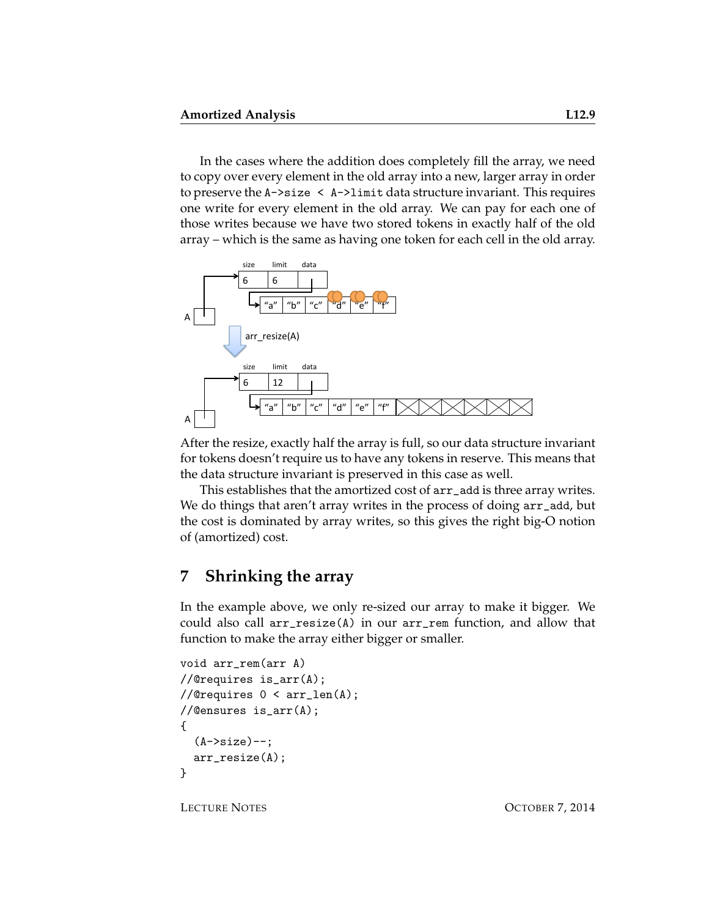In the cases where the addition does completely fill the array, we need to copy over every element in the old array into a new, larger array in order to preserve the A->size < A->limit data structure invariant. This requires one write for every element in the old array. We can pay for each one of those writes because we have two stored tokens in exactly half of the old array – which is the same as having one token for each cell in the old array.



After the resize, exactly half the array is full, so our data structure invariant for tokens doesn't require us to have any tokens in reserve. This means that the data structure invariant is preserved in this case as well.

This establishes that the amortized cost of arr\_add is three array writes. We do things that aren't array writes in the process of doing  $arr\_add$ , but the cost is dominated by array writes, so this gives the right big-O notion of (amortized) cost.

## **7 Shrinking the array**

In the example above, we only re-sized our array to make it bigger. We could also call arr\_resize(A) in our arr\_rem function, and allow that function to make the array either bigger or smaller.

```
void arr_rem(arr A)
//@requires is_arr(A);
//@requires 0 < arr_len(A);
//@ensures is_arr(A);
{
  (A->size) --;arr_resize(A);
}
```
LECTURE NOTES **OCTOBER 7, 2014**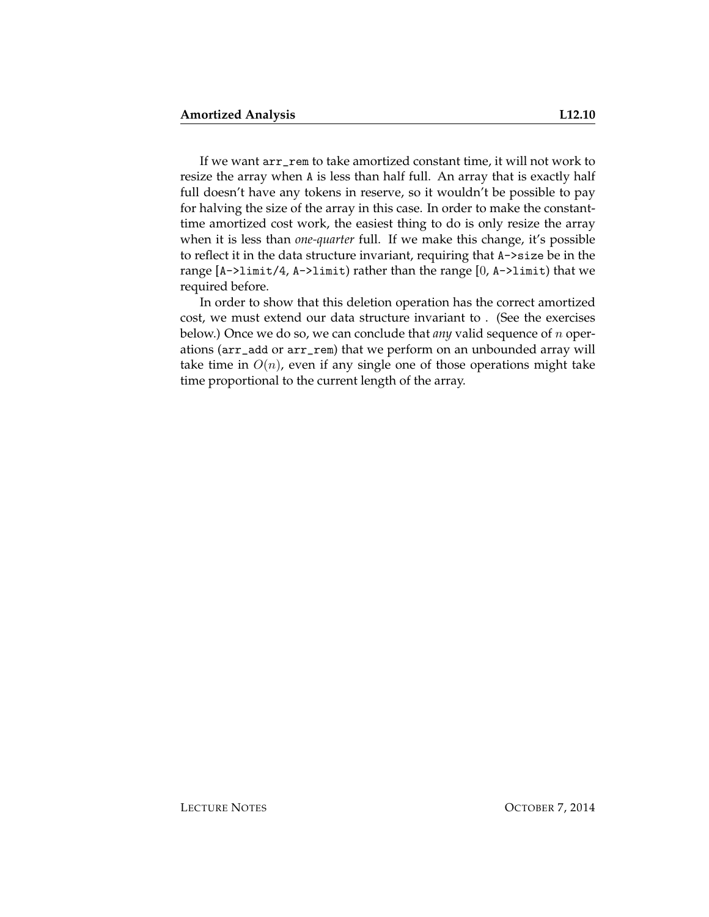If we want arr\_rem to take amortized constant time, it will not work to resize the array when A is less than half full. An array that is exactly half full doesn't have any tokens in reserve, so it wouldn't be possible to pay for halving the size of the array in this case. In order to make the constanttime amortized cost work, the easiest thing to do is only resize the array when it is less than *one-quarter* full. If we make this change, it's possible to reflect it in the data structure invariant, requiring that A->size be in the range [A->limit/4, A->limit) rather than the range [0, A->limit) that we required before.

In order to show that this deletion operation has the correct amortized cost, we must extend our data structure invariant to . (See the exercises below.) Once we do so, we can conclude that *any* valid sequence of n operations (arr\_add or arr\_rem) that we perform on an unbounded array will take time in  $O(n)$ , even if any single one of those operations might take time proportional to the current length of the array.